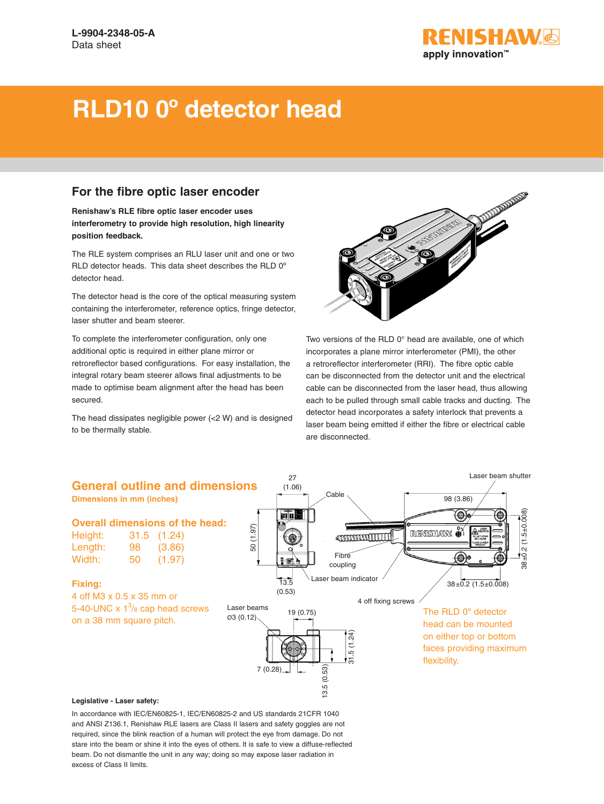**RENISHAW**6 apply innovation™

# **RLD10 0º detector head**

## **For the fibre optic laser encoder**

**Renishaw's RLE fibre optic laser encoder uses interferometry to provide high resolution, high linearity position feedback.**

The RLE system comprises an RLU laser unit and one or two RLD detector heads. This data sheet describes the RLD 0º detector head.

The detector head is the core of the optical measuring system containing the interferometer, reference optics, fringe detector, laser shutter and beam steerer.

To complete the interferometer configuration, only one additional optic is required in either plane mirror or retroreflector based configurations. For easy installation, the integral rotary beam steerer allows final adjustments to be made to optimise beam alignment after the head has been secured.

The head dissipates negligible power (<2 W) and is designed to be thermally stable.



Two versions of the RLD 0° head are available, one of which incorporates a plane mirror interferometer (PMI), the other a retroreflector interferometer (RRI). The fibre optic cable can be disconnected from the detector unit and the electrical cable can be disconnected from the laser head, thus allowing each to be pulled through small cable tracks and ducting. The detector head incorporates a safety interlock that prevents a laser beam being emitted if either the fibre or electrical cable are disconnected.



In accordance with IEC/EN60825-1, IEC/EN60825-2 and US standards 21CFR 1040 and ANSI Z136.1, Renishaw RLE lasers are Class II lasers and safety goggles are not required, since the blink reaction of a human will protect the eye from damage. Do not stare into the beam or shine it into the eyes of others. It is safe to view a diffuse-reflected beam. Do not dismantle the unit in any way; doing so may expose laser radiation in excess of Class II limits.